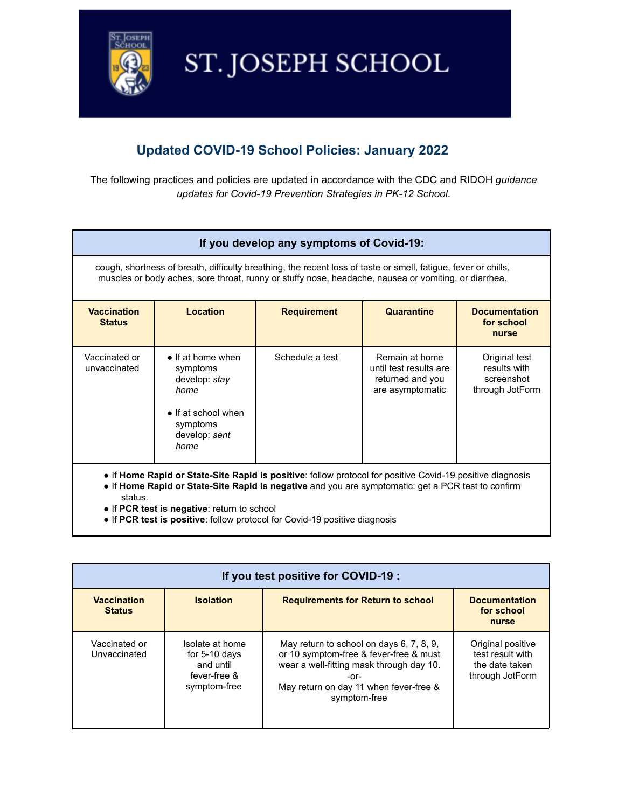

## ST. JOSEPH SCHOOL

## **Updated COVID-19 School Policies: January 2022**

The following practices and policies are updated in accordance with the CDC and RIDOH *guidance updates for Covid-19 Prevention Strategies in PK-12 School*.

## **If you develop any symptoms of Covid-19:**

cough, shortness of breath, difficulty breathing, the recent loss of taste or smell, fatigue, fever or chills, muscles or body aches, sore throat, runny or stuffy nose, headache, nausea or vomiting, or diarrhea.

| <b>Vaccination</b><br><b>Status</b>                                                                                                                                                                                        | Location                                                                                                                   | <b>Requirement</b> | Quarantine                                                                       | <b>Documentation</b><br>for school<br>nurse                    |
|----------------------------------------------------------------------------------------------------------------------------------------------------------------------------------------------------------------------------|----------------------------------------------------------------------------------------------------------------------------|--------------------|----------------------------------------------------------------------------------|----------------------------------------------------------------|
| Vaccinated or<br>unvaccinated                                                                                                                                                                                              | $\bullet$ If at home when<br>symptoms<br>develop: stay<br>home<br>• If at school when<br>symptoms<br>develop: sent<br>home | Schedule a test    | Remain at home<br>until test results are<br>returned and you<br>are asymptomatic | Original test<br>results with<br>screenshot<br>through JotForm |
| • If Home Rapid or State-Site Rapid is positive: follow protocol for positive Covid-19 positive diagnosis<br>• If Home Rapid or State-Site Rapid is negative and you are symptomatic: get a PCR test to confirm<br>status. |                                                                                                                            |                    |                                                                                  |                                                                |

● If **PCR test is negative**: return to school

● If **PCR test is positive**: follow protocol for Covid-19 positive diagnosis

| If you test positive for COVID-19 : |                                                                                 |                                                                                                                                                                                                  |                                                                            |  |  |
|-------------------------------------|---------------------------------------------------------------------------------|--------------------------------------------------------------------------------------------------------------------------------------------------------------------------------------------------|----------------------------------------------------------------------------|--|--|
| <b>Vaccination</b><br><b>Status</b> | <b>Isolation</b>                                                                | <b>Requirements for Return to school</b>                                                                                                                                                         | <b>Documentation</b><br>for school<br>nurse                                |  |  |
| Vaccinated or<br>Unvaccinated       | Isolate at home<br>for $5-10$ days<br>and until<br>fever-free &<br>symptom-free | May return to school on days 6, 7, 8, 9,<br>or 10 symptom-free & fever-free & must<br>wear a well-fitting mask through day 10.<br>-or-<br>May return on day 11 when fever-free &<br>symptom-free | Original positive<br>test result with<br>the date taken<br>through JotForm |  |  |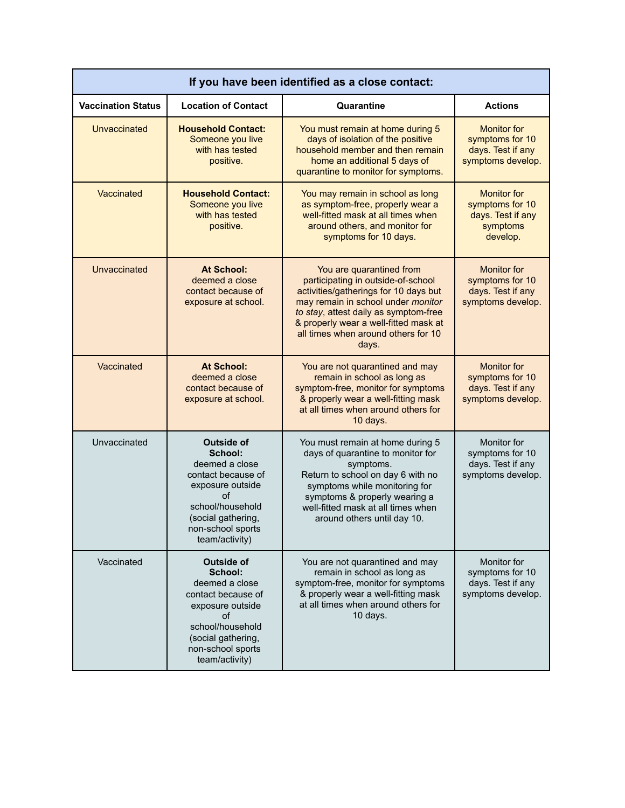| If you have been identified as a close contact: |                                                                                                                                                                                 |                                                                                                                                                                                                                                                                                 |                                                                                    |  |  |
|-------------------------------------------------|---------------------------------------------------------------------------------------------------------------------------------------------------------------------------------|---------------------------------------------------------------------------------------------------------------------------------------------------------------------------------------------------------------------------------------------------------------------------------|------------------------------------------------------------------------------------|--|--|
| <b>Vaccination Status</b>                       | <b>Location of Contact</b>                                                                                                                                                      | Quarantine                                                                                                                                                                                                                                                                      | <b>Actions</b>                                                                     |  |  |
| Unvaccinated                                    | <b>Household Contact:</b><br>Someone you live<br>with has tested<br>positive.                                                                                                   | You must remain at home during 5<br>days of isolation of the positive<br>household member and then remain<br>home an additional 5 days of<br>quarantine to monitor for symptoms.                                                                                                | <b>Monitor for</b><br>symptoms for 10<br>days. Test if any<br>symptoms develop.    |  |  |
| Vaccinated                                      | <b>Household Contact:</b><br>Someone you live<br>with has tested<br>positive.                                                                                                   | You may remain in school as long<br>as symptom-free, properly wear a<br>well-fitted mask at all times when<br>around others, and monitor for<br>symptoms for 10 days.                                                                                                           | <b>Monitor for</b><br>symptoms for 10<br>days. Test if any<br>symptoms<br>develop. |  |  |
| Unvaccinated                                    | <b>At School:</b><br>deemed a close<br>contact because of<br>exposure at school.                                                                                                | You are quarantined from<br>participating in outside-of-school<br>activities/gatherings for 10 days but<br>may remain in school under monitor<br>to stay, attest daily as symptom-free<br>& properly wear a well-fitted mask at<br>all times when around others for 10<br>days. | <b>Monitor</b> for<br>symptoms for 10<br>days. Test if any<br>symptoms develop.    |  |  |
| Vaccinated                                      | <b>At School:</b><br>deemed a close<br>contact because of<br>exposure at school.                                                                                                | You are not quarantined and may<br>remain in school as long as<br>symptom-free, monitor for symptoms<br>& properly wear a well-fitting mask<br>at all times when around others for<br>10 days.                                                                                  | <b>Monitor</b> for<br>symptoms for 10<br>days. Test if any<br>symptoms develop.    |  |  |
| Unvaccinated                                    | <b>Outside of</b><br>School:<br>deemed a close<br>contact because of<br>exposure outside<br>0f<br>school/household<br>(social gathering,<br>non-school sports<br>team/activity) | You must remain at home during 5<br>days of quarantine to monitor for<br>symptoms.<br>Return to school on day 6 with no<br>symptoms while monitoring for<br>symptoms & properly wearing a<br>well-fitted mask at all times when<br>around others until day 10.                  | Monitor for<br>symptoms for 10<br>days. Test if any<br>symptoms develop.           |  |  |
| Vaccinated                                      | <b>Outside of</b><br>School:<br>deemed a close<br>contact because of<br>exposure outside<br>οf<br>school/household<br>(social gathering,<br>non-school sports<br>team/activity) | You are not quarantined and may<br>remain in school as long as<br>symptom-free, monitor for symptoms<br>& properly wear a well-fitting mask<br>at all times when around others for<br>10 days.                                                                                  | Monitor for<br>symptoms for 10<br>days. Test if any<br>symptoms develop.           |  |  |